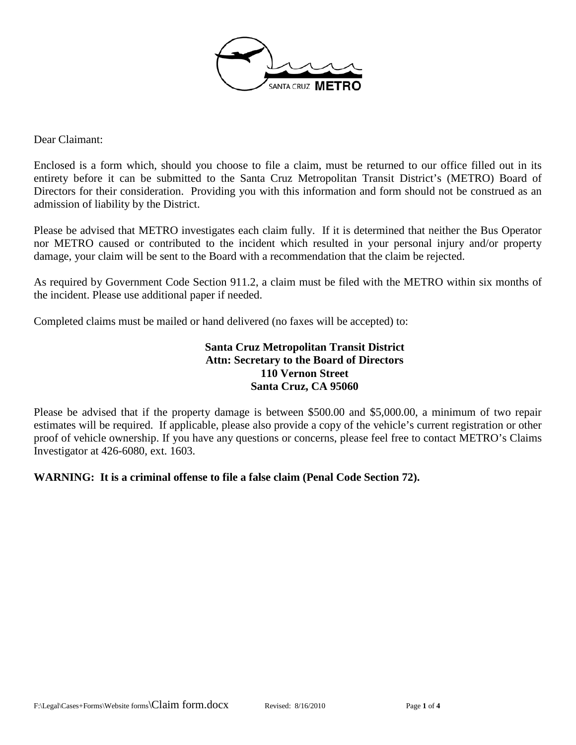

Dear Claimant:

Enclosed is a form which, should you choose to file a claim, must be returned to our office filled out in its entirety before it can be submitted to the Santa Cruz Metropolitan Transit District's (METRO) Board of Directors for their consideration. Providing you with this information and form should not be construed as an admission of liability by the District.

Please be advised that METRO investigates each claim fully. If it is determined that neither the Bus Operator nor METRO caused or contributed to the incident which resulted in your personal injury and/or property damage, your claim will be sent to the Board with a recommendation that the claim be rejected.

As required by Government Code Section 911.2, a claim must be filed with the METRO within six months of the incident. Please use additional paper if needed.

Completed claims must be mailed or hand delivered (no faxes will be accepted) to:

#### **Santa Cruz Metropolitan Transit District Attn: Secretary to the Board of Directors 110 Vernon Street Santa Cruz, CA 95060**

Please be advised that if the property damage is between \$500.00 and \$5,000.00, a minimum of two repair estimates will be required. If applicable, please also provide a copy of the vehicle's current registration or other proof of vehicle ownership. If you have any questions or concerns, please feel free to contact METRO's Claims Investigator at 426-6080, ext. 1603.

#### **WARNING: It is a criminal offense to file a false claim (Penal Code Section 72).**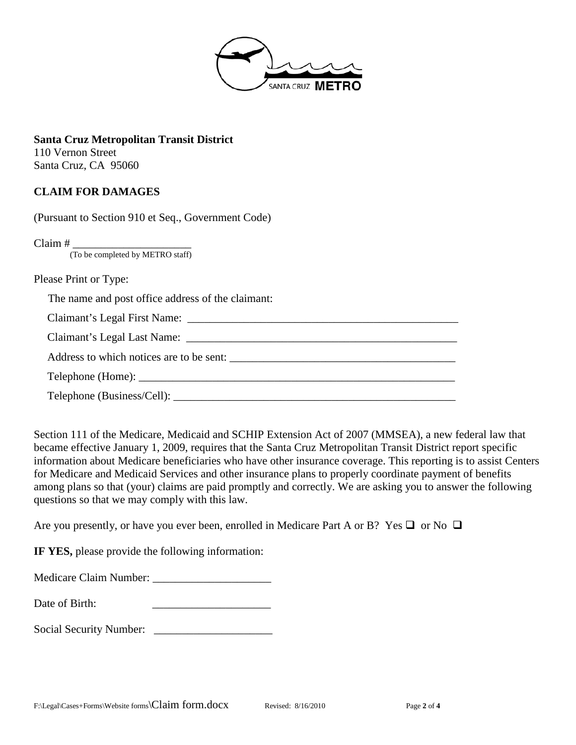

**Santa Cruz Metropolitan Transit District**  110 Vernon Street Santa Cruz, CA 95060

## **CLAIM FOR DAMAGES**

(Pursuant to Section 910 et Seq., Government Code)

 $Claim # \n<sub>(To be completed by METRO staff)</sub>$ 

Please Print or Type:

The name and post office address of the claimant:

Claimant's Legal First Name: \_\_\_\_\_\_\_\_\_\_\_\_\_\_\_\_\_\_\_\_\_\_\_\_\_\_\_\_\_\_\_\_\_\_\_\_\_\_\_\_\_\_\_\_\_\_\_\_

Claimant's Legal Last Name: \_\_\_\_\_\_\_\_\_\_\_\_\_\_\_\_\_\_\_\_\_\_\_\_\_\_\_\_\_\_\_\_\_\_\_\_\_\_\_\_\_\_\_\_\_\_\_\_

Address to which notices are to be sent:

Telephone (Home): \_\_\_\_\_\_\_\_\_\_\_\_\_\_\_\_\_\_\_\_\_\_\_\_\_\_\_\_\_\_\_\_\_\_\_\_\_\_\_\_\_\_\_\_\_\_\_\_\_\_\_\_\_\_\_\_

Telephone (Business/Cell):

Section 111 of the Medicare, Medicaid and SCHIP Extension Act of 2007 (MMSEA), a new federal law that became effective January 1, 2009, requires that the Santa Cruz Metropolitan Transit District report specific information about Medicare beneficiaries who have other insurance coverage. This reporting is to assist Centers for Medicare and Medicaid Services and other insurance plans to properly coordinate payment of benefits among plans so that (your) claims are paid promptly and correctly. We are asking you to answer the following questions so that we may comply with this law.

Are you presently, or have you ever been, enrolled in Medicare Part A or B? Yes  $\square$  or No  $\square$ 

**IF YES,** please provide the following information:

| <b>Medicare Claim Number:</b> |  |
|-------------------------------|--|
|-------------------------------|--|

Date of Birth:

Social Security Number: \_\_\_\_\_\_\_\_\_\_\_\_\_\_\_\_\_\_\_\_\_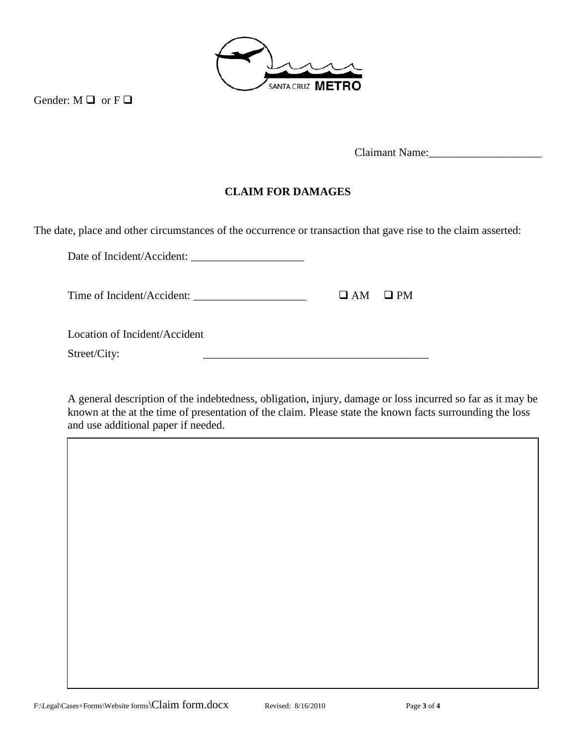

Gender:  $M \square$  or  $F \square$ 

Claimant Name:

## **CLAIM FOR DAMAGES**

The date, place and other circumstances of the occurrence or transaction that gave rise to the claim asserted:

Date of Incident/Accident: \_\_\_\_\_\_\_\_\_\_\_\_\_\_\_\_\_\_\_\_ Time of Incident/Accident:  $\Box$  AM  $\Box$  PM Location of Incident/Accident Street/City:

A general description of the indebtedness, obligation, injury, damage or loss incurred so far as it may be known at the at the time of presentation of the claim. Please state the known facts surrounding the loss and use additional paper if needed.